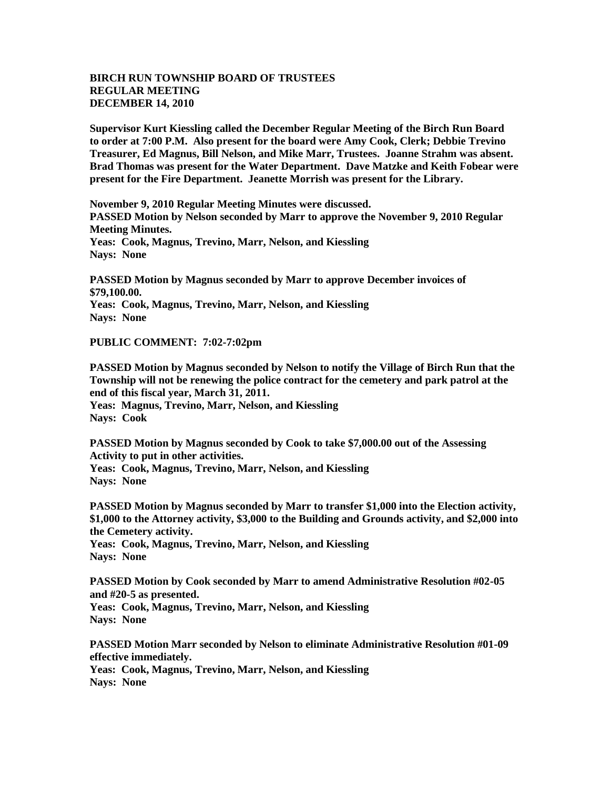## **BIRCH RUN TOWNSHIP BOARD OF TRUSTEES REGULAR MEETING DECEMBER 14, 2010**

**Supervisor Kurt Kiessling called the December Regular Meeting of the Birch Run Board to order at 7:00 P.M. Also present for the board were Amy Cook, Clerk; Debbie Trevino Treasurer, Ed Magnus, Bill Nelson, and Mike Marr, Trustees. Joanne Strahm was absent. Brad Thomas was present for the Water Department. Dave Matzke and Keith Fobear were present for the Fire Department. Jeanette Morrish was present for the Library.**

**November 9, 2010 Regular Meeting Minutes were discussed. PASSED Motion by Nelson seconded by Marr to approve the November 9, 2010 Regular Meeting Minutes. Yeas: Cook, Magnus, Trevino, Marr, Nelson, and Kiessling Nays: None**

**PASSED Motion by Magnus seconded by Marr to approve December invoices of \$79,100.00. Yeas: Cook, Magnus, Trevino, Marr, Nelson, and Kiessling Nays: None**

**PUBLIC COMMENT: 7:02-7:02pm**

**PASSED Motion by Magnus seconded by Nelson to notify the Village of Birch Run that the Township will not be renewing the police contract for the cemetery and park patrol at the end of this fiscal year, March 31, 2011. Yeas: Magnus, Trevino, Marr, Nelson, and Kiessling Nays: Cook**

**PASSED Motion by Magnus seconded by Cook to take \$7,000.00 out of the Assessing Activity to put in other activities. Yeas: Cook, Magnus, Trevino, Marr, Nelson, and Kiessling Nays: None**

**PASSED Motion by Magnus seconded by Marr to transfer \$1,000 into the Election activity, \$1,000 to the Attorney activity, \$3,000 to the Building and Grounds activity, and \$2,000 into the Cemetery activity.**

**Yeas: Cook, Magnus, Trevino, Marr, Nelson, and Kiessling Nays: None**

**PASSED Motion by Cook seconded by Marr to amend Administrative Resolution #02-05 and #20-5 as presented. Yeas: Cook, Magnus, Trevino, Marr, Nelson, and Kiessling Nays: None**

**PASSED Motion Marr seconded by Nelson to eliminate Administrative Resolution #01-09 effective immediately. Yeas: Cook, Magnus, Trevino, Marr, Nelson, and Kiessling Nays: None**